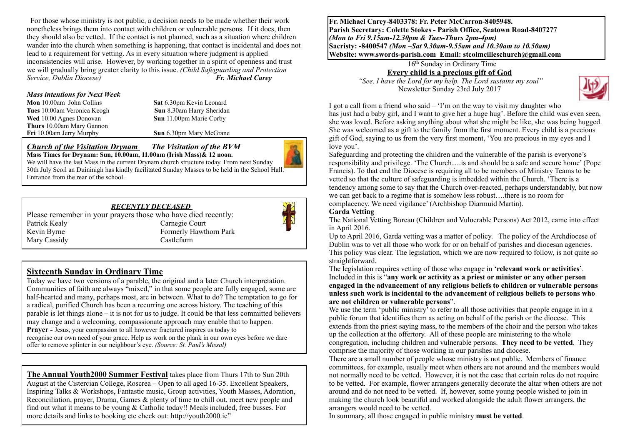For those whose ministry is not public, a decision needs to be made whether their work nonetheless brings them into contact with children or vulnerable persons. If it does, then they should also be vetted. If the contact is not planned, such as a situation where children wander into the church when something is happening, that contact is incidental and does not lead to a requirement for vetting. As in every situation where judgment is applied inconsistencies will arise. However, by working together in a spirit of openness and trust we will gradually bring greater clarity to this issue. *(Child Safeguarding and Protection Service, Dublin Diocese) Fr. Michael Carey*

#### *Mass intentions for Next Week*

**Mon** 10.00am John Collins **Sat 6.30pm Kevin Leonard Tues** 10.00am Veronica Keogh **Sun** 8.30am Harry Sheridan **Wed** 10.00 Agnes Donovan **Sun** 11.00pm Marie Corby **Thurs** 10.00am Mary Gannon

**Sun** 6.30pm Mary McGrane

*Church of the Visitation Drynam**The Visitation of the BVM* **Mass Times for Drynam: Sun, 10.00am, 11.00am (Irish Mass)& 12 noon.** 



We will have the last Mass in the current Drynam church structure today. From next Sunday 30th July Scoil an Duininigh has kindly facilitated Sunday Masses to be held in the School Hall. Entrance from the rear of the school.

#### *RECENTLY DECEASED*

Please remember in your prayers those who have died recently: Patrick Kealy Carnegie Court Kevin Byrne Formerly Hawthorn Park<br>Mary Cassidy Castlefarm Mary Cassidy



### **Sixteenth Sunday in Ordinary Time**

Today we have two versions of a parable, the original and a later Church interpretation. Communities of faith are always "mixed," in that some people are fully engaged, some are half-hearted and many, perhaps most, are in between. What to do? The temptation to go for a radical, purified Church has been a recurring one across history. The teaching of this parable is let things alone – it is not for us to judge. It could be that less committed believers may change and a welcoming, compassionate approach may enable that to happen. **Prayer -** Jesus, your compassion to all however fractured inspires us today to

recognise our own need of your grace. Help us work on the plank in our own eyes before we dare offer to remove splinter in our neighbour's eye. *(Source: St. Paul's Missal)*

**The Annual Youth2000 Summer Festival** takes place from Thurs 17th to Sun 20th August at the Cistercian College, Roscrea – Open to all aged 16-35. Excellent Speakers, Inspiring Talks & Workshops, Fantastic music, Group activities, Youth Masses, Adoration, Reconciliation, prayer, Drama, Games & plenty of time to chill out, meet new people and find out what it means to be young & Catholic today!! Meals included, free busses. For more details and links to booking etc check out: http://youth2000.ie"

**Fr. Michael Carey-8403378: Fr. Peter McCarron-8405948. Parish Secretary: Colette Stokes - Parish Office, Seatown Road-8407277**  *(Mon to Fri 9.15am-12.30pm & Tues-Thurs 2pm-4pm)*  **Sacristy: -8400547** *(Mon –Sat 9.30am-9.55am and 10.30am to 10.50am)* **Website: [www.swords-parish.com Email:](http://www.swords-parish.com%20%20email) stcolmcilleschurch@gmail.com**

16th Sunday in Ordinary Time

**Every child is a precious gift of God** 

 *"See, I have the Lord for my help. The Lord sustains my soul"*  Newsletter Sunday 23rd July 2017



I got a call from a friend who said – 'I'm on the way to visit my daughter who has just had a baby girl, and I want to give her a huge hug'. Before the child was even seen, she was loved. Before asking anything about what she might be like, she was being hugged. She was welcomed as a gift to the family from the first moment. Every child is a precious gift of God, saying to us from the very first moment, 'You are precious in my eyes and I love you'.

Safeguarding and protecting the children and the vulnerable of the parish is everyone's responsibility and privilege. 'The Church….is and should be a safe and secure home' (Pope Francis). To that end the Diocese is requiring all to be members of Ministry Teams to be vetted so that the culture of safeguarding is imbedded within the Church. 'There is a tendency among some to say that the Church over-reacted, perhaps understandably, but now we can get back to a regime that is somehow less robust….there is no room for complacency. We need vigilance' (Archbishop Diarmuid Martin).

#### **Garda Vetting**

The National Vetting Bureau (Children and Vulnerable Persons) Act 2012, came into effect in April 2016.

Up to April 2016, Garda vetting was a matter of policy. The policy of the Archdiocese of Dublin was to vet all those who work for or on behalf of parishes and diocesan agencies. This policy was clear. The legislation, which we are now required to follow, is not quite so straightforward.

The legislation requires vetting of those who engage in '**relevant work or activities'**. Included in this is "**any work or activity as a priest or minister or any other person engaged in the advancement of any religious beliefs to children or vulnerable persons unless such work is incidental to the advancement of religious beliefs to persons who are not children or vulnerable persons**".

We use the term 'public ministry' to refer to all those activities that people engage in in a public forum that identifies them as acting on behalf of the parish or the diocese. This extends from the priest saying mass, to the members of the choir and the person who takes up the collection at the offertory. All of these people are ministering to the whole congregation, including children and vulnerable persons. **They need to be vetted**. They comprise the majority of those working in our parishes and diocese.

There are a small number of people whose ministry is not public. Members of finance committees, for example, usually meet when others are not around and the members would not normally need to be vetted. However, it is not the case that certain roles do not require to be vetted. For example, flower arrangers generally decorate the altar when others are not around and do not need to be vetted. If, however, some young people wished to join in making the church look beautiful and worked alongside the adult flower arrangers, the arrangers would need to be vetted.

In summary, all those engaged in public ministry **must be vetted**.